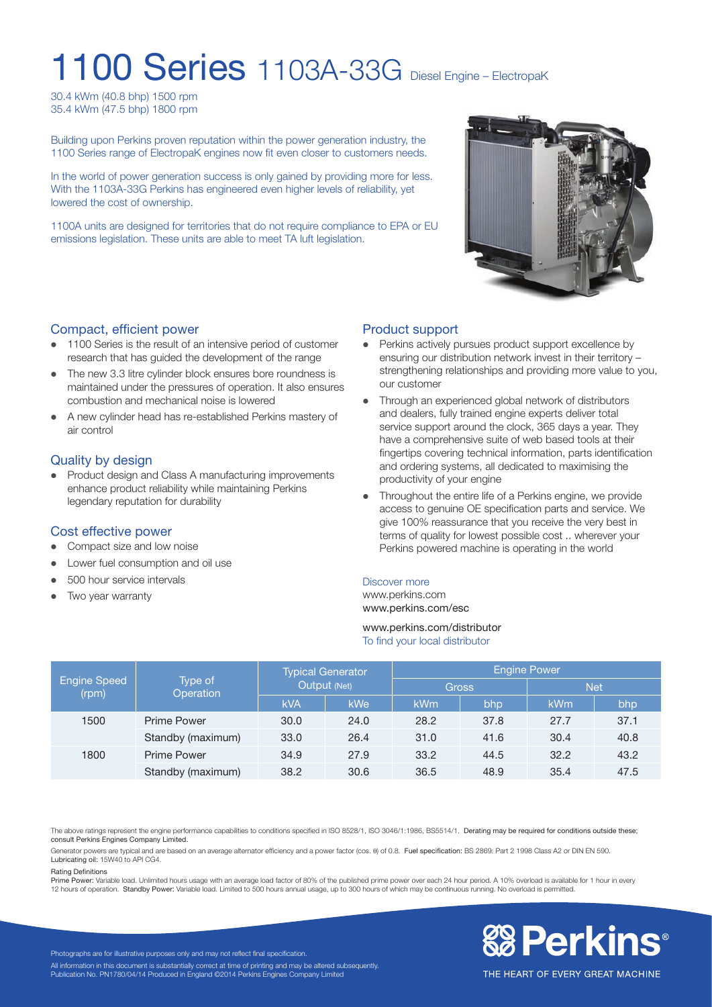# 1100 Series 1103A-33G Diesel Engine – ElectropaK

30.4 kWm (40.8 bhp) 1500 rpm 35.4 kWm (47.5 bhp) 1800 rpm

Building upon Perkins proven reputation within the power generation industry, the 1100 Series range of ElectropaK engines now fit even closer to customers needs.

In the world of power generation success is only gained by providing more for less. With the 1103A-33G Perkins has engineered even higher levels of reliability, yet lowered the cost of ownership.

1100A units are designed for territories that do not require compliance to EPA or EU emissions legislation. These units are able to meet TA luft legislation.



#### Compact, efficient power

- 1100 Series is the result of an intensive period of customer research that has guided the development of the range
- The new 3.3 litre cylinder block ensures bore roundness is maintained under the pressures of operation. It also ensures combustion and mechanical noise is lowered
- l A new cylinder head has re-established Perkins mastery of air control

#### Quality by design

• Product design and Class A manufacturing improvements enhance product reliability while maintaining Perkins legendary reputation for durability

#### Cost effective power

- Compact size and low noise
- Lower fuel consumption and oil use
- 500 hour service intervals
- Two year warranty

### Product support

- Perkins actively pursues product support excellence by ensuring our distribution network invest in their territory – strengthening relationships and providing more value to you, our customer
- Through an experienced global network of distributors and dealers, fully trained engine experts deliver total service support around the clock, 365 days a year. They have a comprehensive suite of web based tools at their fingertips covering technical information, parts identification and ordering systems, all dedicated to maximising the productivity of your engine
- Throughout the entire life of a Perkins engine, we provide access to genuine OE specification parts and service. We give 100% reassurance that you receive the very best in terms of quality for lowest possible cost .. wherever your Perkins powered machine is operating in the world

#### Discover more

www.perkins.com www.perkins.com/esc

#### www.perkins.com/distributor To find your local distributor

| <b>Engine Speed</b><br>(rpm) | Type of<br>Operation | <b>Typical Generator</b><br>Output (Net) |            | <b>Engine Power</b> |      |            |      |
|------------------------------|----------------------|------------------------------------------|------------|---------------------|------|------------|------|
|                              |                      |                                          |            | <b>Gross</b>        |      | <b>Net</b> |      |
|                              |                      | <b>kVA</b>                               | <b>kWe</b> | <b>kWm</b>          | bhp  | kWm        | bhp  |
| 1500                         | <b>Prime Power</b>   | 30.0                                     | 24.0       | 28.2                | 37.8 | 27.7       | 37.1 |
|                              | Standby (maximum)    | 33.0                                     | 26.4       | 31.0                | 41.6 | 30.4       | 40.8 |
| 1800                         | <b>Prime Power</b>   | 34.9                                     | 27.9       | 33.2                | 44.5 | 32.2       | 43.2 |
|                              | Standby (maximum)    | 38.2                                     | 30.6       | 36.5                | 48.9 | 35.4       | 47.5 |

The above ratings represent the engine performance capabilities to conditions specified in ISO 8528/1, ISO 3046/1:1986, BS5514/1. Derating may be required for conditions outside these; consult Perkins Engines Company Limited.

Generator powers are typical and are based on an average alternator efficiency and a power factor (cos.  $\theta$ ) of 0.8. Fuel specification: BS 2869: Part 2 1998 Class A2 or DIN EN 590. Lubricating oil: 15W40 to API CG4.

#### Rating Definitions

Prime Power: Variable load. Unlimited hours usage with an average load factor of 80% of the published prime power over each 24 hour period. A 10% overload is available for 1 hour in every<br>12 hours of operation. Standby Pow



Photographs are for illustrative purposes only and may not reflect final specification. All information in this document is substantially correct at time of printing and may be altered subsequently. Publication No. PN1780/04/14 Produced in England ©2014 Perkins Engines Company Limited